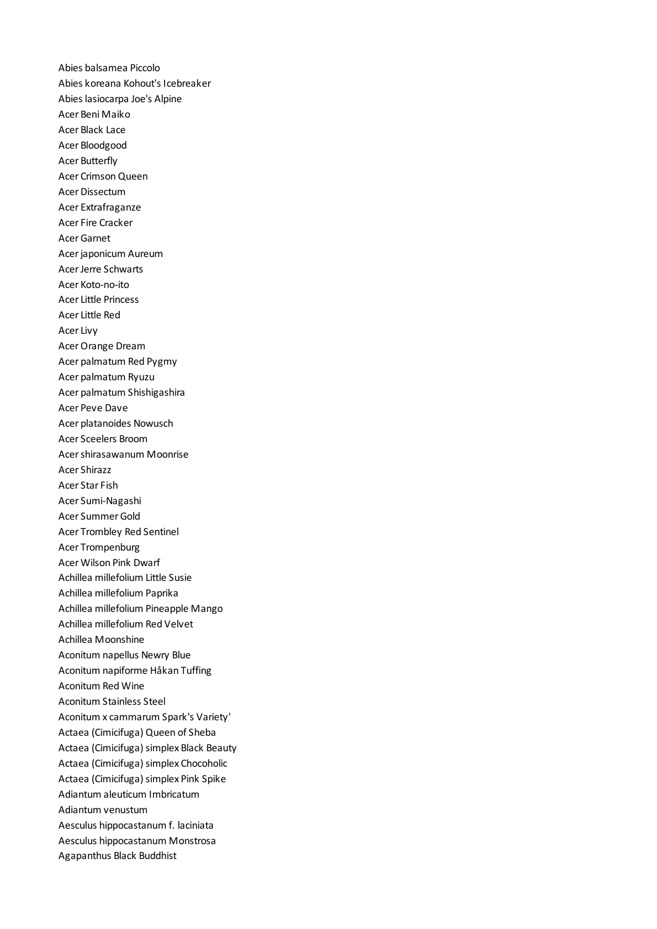Abies balsamea Piccolo Abies koreana Kohout's Icebreaker Abies lasiocarpa Joe's Alpine Acer Beni Maiko Acer Black Lace Acer Bloodgood Acer Butterfly Acer Crimson Queen Acer Dissectum Acer Extrafraganze Acer Fire Cracker Acer Garnet Acer japonicum Aureum Acer Jerre Schwarts Acer Koto-no-ito Acer Little Princess Acer Little Red Acer Livy Acer Orange Dream Acer palmatum Red Pygmy Acer palmatum Ryuzu Acer palmatum Shishigashira Acer Peve Dave Acer platanoides Nowusch Acer Sceelers Broom Acer shirasawanum Moonrise Acer Shirazz Acer Star Fish Acer Sumi-Nagashi Acer Summer Gold Acer Trombley Red Sentinel Acer Trompenburg Acer Wilson Pink Dwarf Achillea millefolium Little Susie Achillea millefolium Paprika Achillea millefolium Pineapple Mango Achillea millefolium Red Velvet Achillea Moonshine Aconitum napellus Newry Blue Aconitum napiforme Håkan Tuffing Aconitum Red Wine Aconitum Stainless Steel Aconitum x cammarum Spark's Variety' Actaea (Cimicifuga) Queen of Sheba Actaea (Cimicifuga) simplex Black Beauty Actaea (Cimicifuga) simplex Chocoholic Actaea (Cimicifuga) simplex Pink Spike Adiantum aleuticum Imbricatum Adiantum venustum Aesculus hippocastanum f. laciniata Aesculus hippocastanum Monstrosa Agapanthus Black Buddhist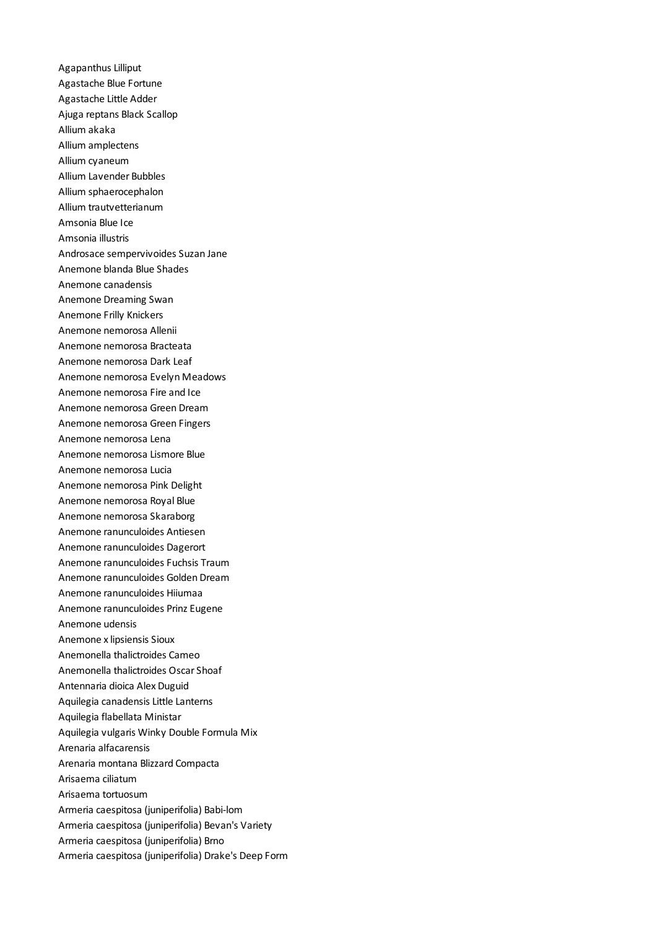Agapanthus Lilliput Agastache Blue Fortune Agastache Little Adder Ajuga reptans Black Scallop Allium akaka Allium amplectens Allium cyaneum Allium Lavender Bubbles Allium sphaerocephalon Allium trautvetterianum Amsonia Blue Ice Amsonia illustris Androsace sempervivoides Suzan Jane Anemone blanda Blue Shades Anemone canadensis Anemone Dreaming Swan Anemone Frilly Knickers Anemone nemorosa Allenii Anemone nemorosa Bracteata Anemone nemorosa Dark Leaf Anemone nemorosa Evelyn Meadows Anemone nemorosa Fire and Ice Anemone nemorosa Green Dream Anemone nemorosa Green Fingers Anemone nemorosa Lena Anemone nemorosa Lismore Blue Anemone nemorosa Lucia Anemone nemorosa Pink Delight Anemone nemorosa Royal Blue Anemone nemorosa Skaraborg Anemone ranunculoides Antiesen Anemone ranunculoides Dagerort Anemone ranunculoides Fuchsis Traum Anemone ranunculoides Golden Dream Anemone ranunculoides Hiiumaa Anemone ranunculoides Prinz Eugene Anemone udensis Anemone x lipsiensis Sioux Anemonella thalictroides Cameo Anemonella thalictroides Oscar Shoaf Antennaria dioica Alex Duguid Aquilegia canadensis Little Lanterns Aquilegia flabellata Ministar Aquilegia vulgaris Winky Double Formula Mix Arenaria alfacarensis Arenaria montana Blizzard Compacta Arisaema ciliatum Arisaema tortuosum Armeria caespitosa (juniperifolia) Babi-lom Armeria caespitosa (juniperifolia) Bevan's Variety Armeria caespitosa (juniperifolia) Brno Armeria caespitosa (juniperifolia) Drake's Deep Form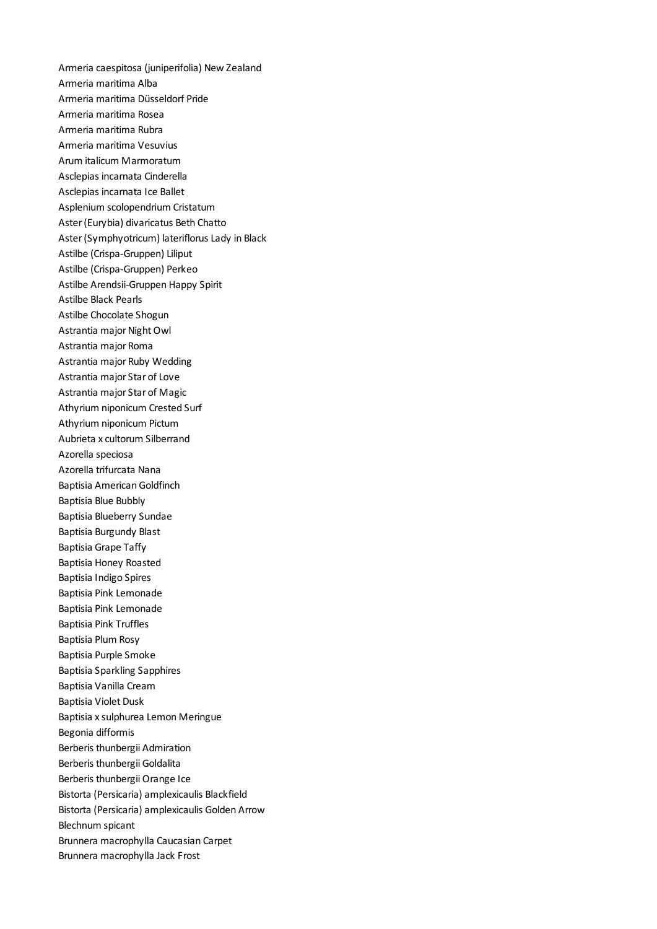Armeria caespitosa (juniperifolia) New Zealand Armeria maritima Alba Armeria maritima Düsseldorf Pride Armeria maritima Rosea Armeria maritima Rubra Armeria maritima Vesuvius Arum italicum Marmoratum Asclepias incarnata Cinderella Asclepias incarnata Ice Ballet Asplenium scolopendrium Cristatum Aster (Eurybia) divaricatus Beth Chatto Aster (Symphyotricum) lateriflorus Lady in Black Astilbe (Crispa-Gruppen) Liliput Astilbe (Crispa-Gruppen) Perkeo Astilbe Arendsii-Gruppen Happy Spirit Astilbe Black Pearls Astilbe Chocolate Shogun Astrantia major Night Owl Astrantia major Roma Astrantia major Ruby Wedding Astrantia major Star of Love Astrantia major Star of Magic Athyrium niponicum Crested Surf Athyrium niponicum Pictum Aubrieta x cultorum Silberrand Azorella speciosa Azorella trifurcata Nana Baptisia American Goldfinch Baptisia Blue Bubbly Baptisia Blueberry Sundae Baptisia Burgundy Blast Baptisia Grape Taffy Baptisia Honey Roasted Baptisia Indigo Spires Baptisia Pink Lemonade Baptisia Pink Lemonade Baptisia Pink Truffles Baptisia Plum Rosy Baptisia Purple Smoke Baptisia Sparkling Sapphires Baptisia Vanilla Cream Baptisia Violet Dusk Baptisia x sulphurea Lemon Meringue Begonia difformis Berberis thunbergii Admiration Berberis thunbergii Goldalita Berberis thunbergii Orange Ice Bistorta (Persicaria) amplexicaulis Blackfield Bistorta (Persicaria) amplexicaulis Golden Arrow Blechnum spicant Brunnera macrophylla Caucasian Carpet Brunnera macrophylla Jack Frost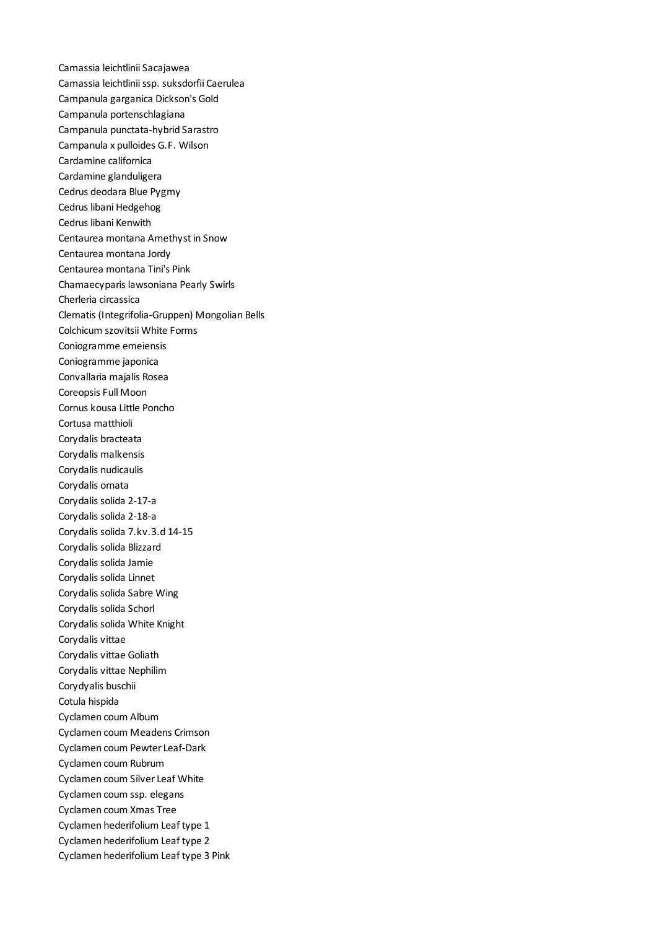Camassia leichtlinii Sacajawea Camassia leichtlinii ssp. suksdorfii Caerulea Campanula garganica Dickson's Gold Campanula portenschlagiana Campanula punctata-hybrid Sarastro Campanula x pulloides G.F. Wilson Cardamine californica Cardamine glanduligera Cedrus deodara Blue Pygmy Cedrus libani Hedgehog Cedrus libani Kenwith Centaurea montana Amethyst in Snow Centaurea montana Jordy Centaurea montana Tini's Pink Chamaecyparis lawsoniana Pearly Swirls Cherleria circassica Clematis (Integrifolia-Gruppen) Mongolian Bells Colchicum szovitsii White Forms Coniogramme emeiensis Coniogramme japonica Convallaria majalis Rosea Coreopsis Full Moon Cornus kousa Little Poncho Cortusa matthioli Corydalis bracteata Corydalis malkensis Corydalis nudicaulis Corydalis ornata Corydalis solida 2-17-a Corydalis solida 2-18-a Corydalis solida 7.kv.3.d 14-15 Corydalis solida Blizzard Corydalis solida Jamie Corydalis solida Linnet Corydalis solida Sabre Wing Corydalis solida Schorl Corydalis solida White Knight Corydalis vittae Corydalis vittae Goliath Corydalis vittae Nephilim Corydyalis buschii Cotula hispida Cyclamen coum Album Cyclamen coum Meadens Crimson Cyclamen coum Pewter Leaf-Dark Cyclamen coum Rubrum Cyclamen coum Silver Leaf White Cyclamen coum ssp. elegans Cyclamen coum Xmas Tree Cyclamen hederifolium Leaf type 1 Cyclamen hederifolium Leaf type 2 Cyclamen hederifolium Leaf type 3 Pink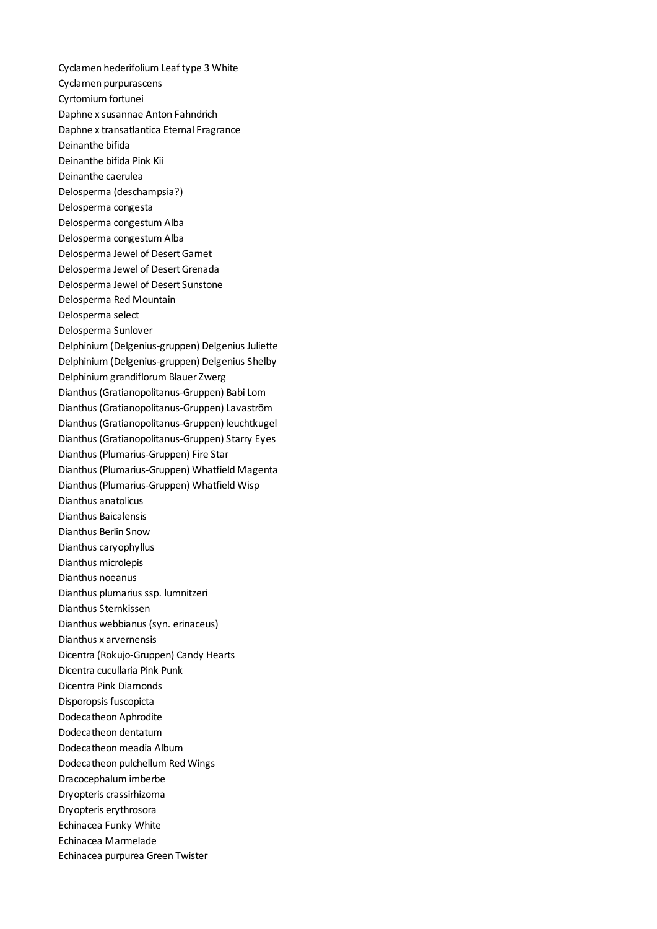Cyclamen hederifolium Leaf type 3 White Cyclamen purpurascens Cyrtomium fortunei Daphne x susannae Anton Fahndrich Daphne x transatlantica Eternal Fragrance Deinanthe bifida Deinanthe bifida Pink Kii Deinanthe caerulea Delosperma (deschampsia?) Delosperma congesta Delosperma congestum Alba Delosperma congestum Alba Delosperma Jewel of Desert Garnet Delosperma Jewel of Desert Grenada Delosperma Jewel of Desert Sunstone Delosperma Red Mountain Delosperma select Delosperma Sunlover Delphinium (Delgenius-gruppen) Delgenius Juliette Delphinium (Delgenius-gruppen) Delgenius Shelby Delphinium grandiflorum Blauer Zwerg Dianthus (Gratianopolitanus-Gruppen) Babi Lom Dianthus (Gratianopolitanus-Gruppen) Lavaström Dianthus (Gratianopolitanus-Gruppen) leuchtkugel Dianthus (Gratianopolitanus-Gruppen) Starry Eyes Dianthus (Plumarius-Gruppen) Fire Star Dianthus (Plumarius-Gruppen) Whatfield Magenta Dianthus (Plumarius-Gruppen) Whatfield Wisp Dianthus anatolicus Dianthus Baicalensis Dianthus Berlin Snow Dianthus caryophyllus Dianthus microlepis Dianthus noeanus Dianthus plumarius ssp. lumnitzeri Dianthus Sternkissen Dianthus webbianus (syn. erinaceus) Dianthus x arvernensis Dicentra (Rokujo-Gruppen) Candy Hearts Dicentra cucullaria Pink Punk Dicentra Pink Diamonds Disporopsis fuscopicta Dodecatheon Aphrodite Dodecatheon dentatum Dodecatheon meadia Album Dodecatheon pulchellum Red Wings Dracocephalum imberbe Dryopteris crassirhizoma Dryopteris erythrosora Echinacea Funky White Echinacea Marmelade Echinacea purpurea Green Twister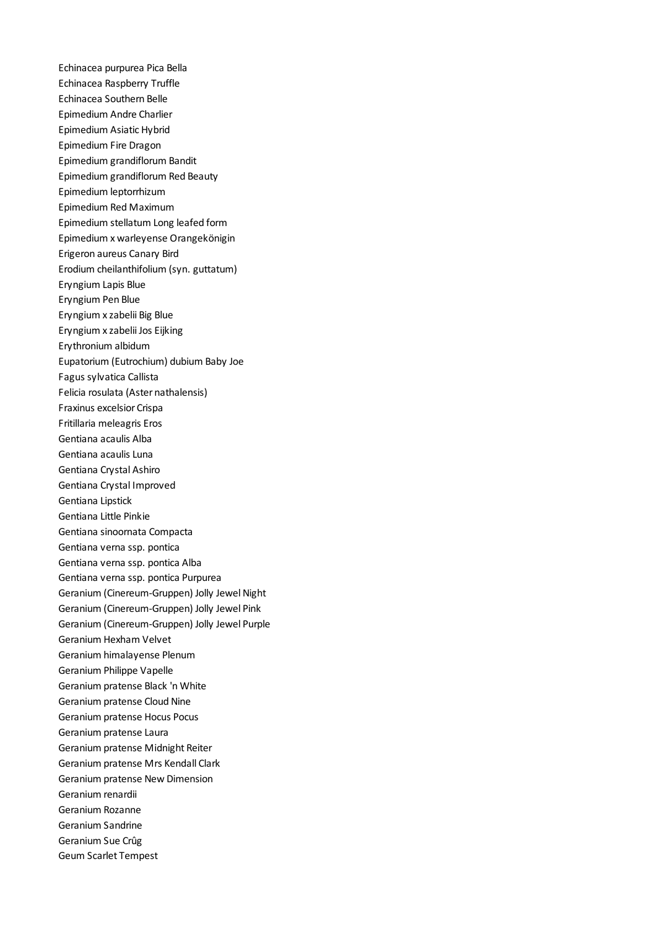Echinacea purpurea Pica Bella Echinacea Raspberry Truffle Echinacea Southern Belle Epimedium Andre Charlier Epimedium Asiatic Hybrid Epimedium Fire Dragon Epimedium grandiflorum Bandit Epimedium grandiflorum Red Beauty Epimedium leptorrhizum Epimedium Red Maximum Epimedium stellatum Long leafed form Epimedium x warleyense Orangekönigin Erigeron aureus Canary Bird Erodium cheilanthifolium (syn. guttatum) Eryngium Lapis Blue Eryngium Pen Blue Eryngium x zabelii Big Blue Eryngium x zabelii Jos Eijking Erythronium albidum Eupatorium (Eutrochium) dubium Baby Joe Fagus sylvatica Callista Felicia rosulata (Aster nathalensis) Fraxinus excelsior Crispa Fritillaria meleagris Eros Gentiana acaulis Alba Gentiana acaulis Luna Gentiana Crystal Ashiro Gentiana Crystal Improved Gentiana Lipstick Gentiana Little Pinkie Gentiana sinoornata Compacta Gentiana verna ssp. pontica Gentiana verna ssp. pontica Alba Gentiana verna ssp. pontica Purpurea Geranium (Cinereum-Gruppen) Jolly Jewel Night Geranium (Cinereum-Gruppen) Jolly Jewel Pink Geranium (Cinereum-Gruppen) Jolly Jewel Purple Geranium Hexham Velvet Geranium himalayense Plenum Geranium Philippe Vapelle Geranium pratense Black 'n White Geranium pratense Cloud Nine Geranium pratense Hocus Pocus Geranium pratense Laura Geranium pratense Midnight Reiter Geranium pratense Mrs Kendall Clark Geranium pratense New Dimension Geranium renardii Geranium Rozanne Geranium Sandrine Geranium Sue Crûg Geum Scarlet Tempest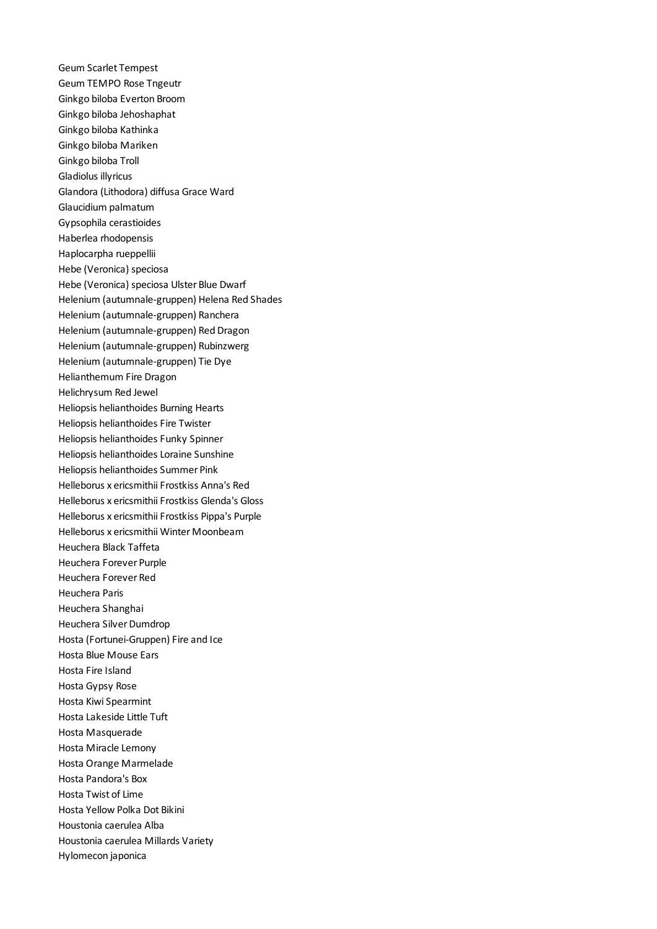Geum Scarlet Tempest Geum TEMPO Rose Tngeutr Ginkgo biloba Everton Broom Ginkgo biloba Jehoshaphat Ginkgo biloba Kathinka Ginkgo biloba Mariken Ginkgo biloba Troll Gladiolus illyricus Glandora (Lithodora) diffusa Grace Ward Glaucidium palmatum Gypsophila cerastioides Haberlea rhodopensis Haplocarpha rueppellii Hebe (Veronica) speciosa Hebe (Veronica) speciosa Ulster Blue Dwarf Helenium (autumnale-gruppen) Helena Red Shades Helenium (autumnale-gruppen) Ranchera Helenium (autumnale-gruppen) Red Dragon Helenium (autumnale-gruppen) Rubinzwerg Helenium (autumnale-gruppen) Tie Dye Helianthemum Fire Dragon Helichrysum Red Jewel Heliopsis helianthoides Burning Hearts Heliopsis helianthoides Fire Twister Heliopsis helianthoides Funky Spinner Heliopsis helianthoides Loraine Sunshine Heliopsis helianthoides Summer Pink Helleborus x ericsmithii Frostkiss Anna's Red Helleborus x ericsmithii Frostkiss Glenda's Gloss Helleborus x ericsmithii Frostkiss Pippa's Purple Helleborus x ericsmithii Winter Moonbeam Heuchera Black Taffeta Heuchera Forever Purple Heuchera Forever Red Heuchera Paris Heuchera Shanghai Heuchera Silver Dumdrop Hosta (Fortunei-Gruppen) Fire and Ice Hosta Blue Mouse Ears Hosta Fire Island Hosta Gypsy Rose Hosta Kiwi Spearmint Hosta Lakeside Little Tuft Hosta Masquerade Hosta Miracle Lemony Hosta Orange Marmelade Hosta Pandora's Box Hosta Twist of Lime Hosta Yellow Polka Dot Bikini Houstonia caerulea Alba Houstonia caerulea Millards Variety Hylomecon japonica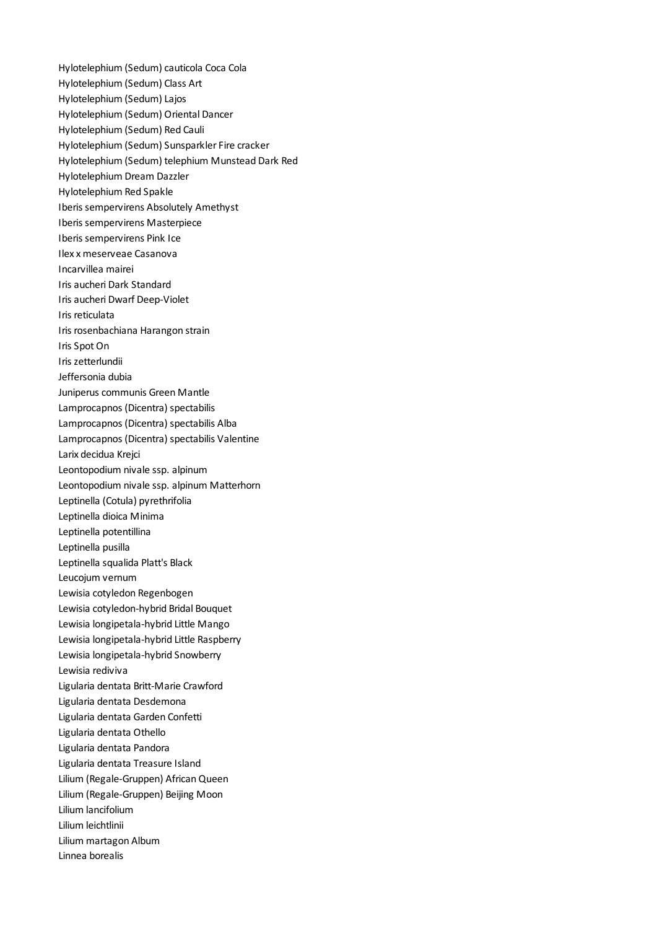Hylotelephium (Sedum) cauticola Coca Cola Hylotelephium (Sedum) Class Art Hylotelephium (Sedum) Lajos Hylotelephium (Sedum) Oriental Dancer Hylotelephium (Sedum) Red Cauli Hylotelephium (Sedum) Sunsparkler Fire cracker Hylotelephium (Sedum) telephium Munstead Dark Red Hylotelephium Dream Dazzler Hylotelephium Red Spakle Iberis sempervirens Absolutely Amethyst Iberis sempervirens Masterpiece Iberis sempervirens Pink Ice Ilex x meserveae Casanova Incarvillea mairei Iris aucheri Dark Standard Iris aucheri Dwarf Deep-Violet Iris reticulata Iris rosenbachiana Harangon strain Iris Spot On Iris zetterlundii Jeffersonia dubia Juniperus communis Green Mantle Lamprocapnos (Dicentra) spectabilis Lamprocapnos (Dicentra) spectabilis Alba Lamprocapnos (Dicentra) spectabilis Valentine Larix decidua Krejci Leontopodium nivale ssp. alpinum Leontopodium nivale ssp. alpinum Matterhorn Leptinella (Cotula) pyrethrifolia Leptinella dioica Minima Leptinella potentillina Leptinella pusilla Leptinella squalida Platt's Black Leucojum vernum Lewisia cotyledon Regenbogen Lewisia cotyledon-hybrid Bridal Bouquet Lewisia longipetala-hybrid Little Mango Lewisia longipetala-hybrid Little Raspberry Lewisia longipetala-hybrid Snowberry Lewisia rediviva Ligularia dentata Britt-Marie Crawford Ligularia dentata Desdemona Ligularia dentata Garden Confetti Ligularia dentata Othello Ligularia dentata Pandora Ligularia dentata Treasure Island Lilium (Regale-Gruppen) African Queen Lilium (Regale-Gruppen) Beijing Moon Lilium lancifolium Lilium leichtlinii Lilium martagon Album Linnea borealis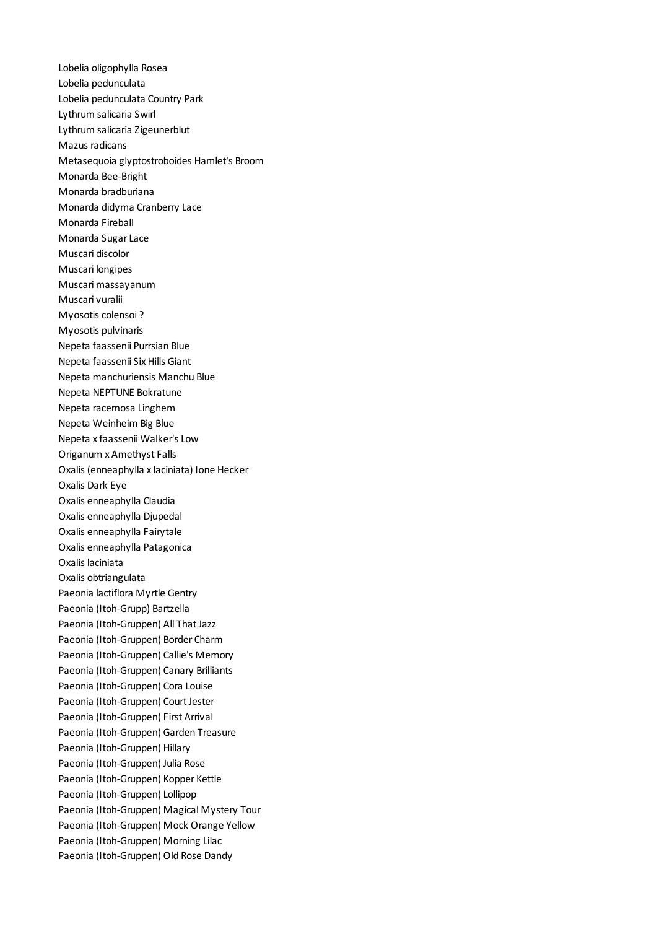Lobelia oligophylla Rosea Lobelia pedunculata Lobelia pedunculata Country Park Lythrum salicaria Swirl Lythrum salicaria Zigeunerblut Mazus radicans Metasequoia glyptostroboides Hamlet's Broom Monarda Bee-Bright Monarda bradburiana Monarda didyma Cranberry Lace Monarda Fireball Monarda Sugar Lace Muscari discolor Muscari longipes Muscari massayanum Muscari vuralii Myosotis colensoi ? Myosotis pulvinaris Nepeta faassenii Purrsian Blue Nepeta faassenii Six Hills Giant Nepeta manchuriensis Manchu Blue Nepeta NEPTUNE Bokratune Nepeta racemosa Linghem Nepeta Weinheim Big Blue Nepeta x faassenii Walker's Low Origanum x Amethyst Falls Oxalis (enneaphylla x laciniata) Ione Hecker Oxalis Dark Eye Oxalis enneaphylla Claudia Oxalis enneaphylla Djupedal Oxalis enneaphylla Fairytale Oxalis enneaphylla Patagonica Oxalis laciniata Oxalis obtriangulata Paeonia lactiflora Myrtle Gentry Paeonia (Itoh-Grupp) Bartzella Paeonia (Itoh-Gruppen) All That Jazz Paeonia (Itoh-Gruppen) Border Charm Paeonia (Itoh-Gruppen) Callie's Memory Paeonia (Itoh-Gruppen) Canary Brilliants Paeonia (Itoh-Gruppen) Cora Louise Paeonia (Itoh-Gruppen) Court Jester Paeonia (Itoh-Gruppen) First Arrival Paeonia (Itoh-Gruppen) Garden Treasure Paeonia (Itoh-Gruppen) Hillary Paeonia (Itoh-Gruppen) Julia Rose Paeonia (Itoh-Gruppen) Kopper Kettle Paeonia (Itoh-Gruppen) Lollipop Paeonia (Itoh-Gruppen) Magical Mystery Tour Paeonia (Itoh-Gruppen) Mock Orange Yellow Paeonia (Itoh-Gruppen) Morning Lilac Paeonia (Itoh-Gruppen) Old Rose Dandy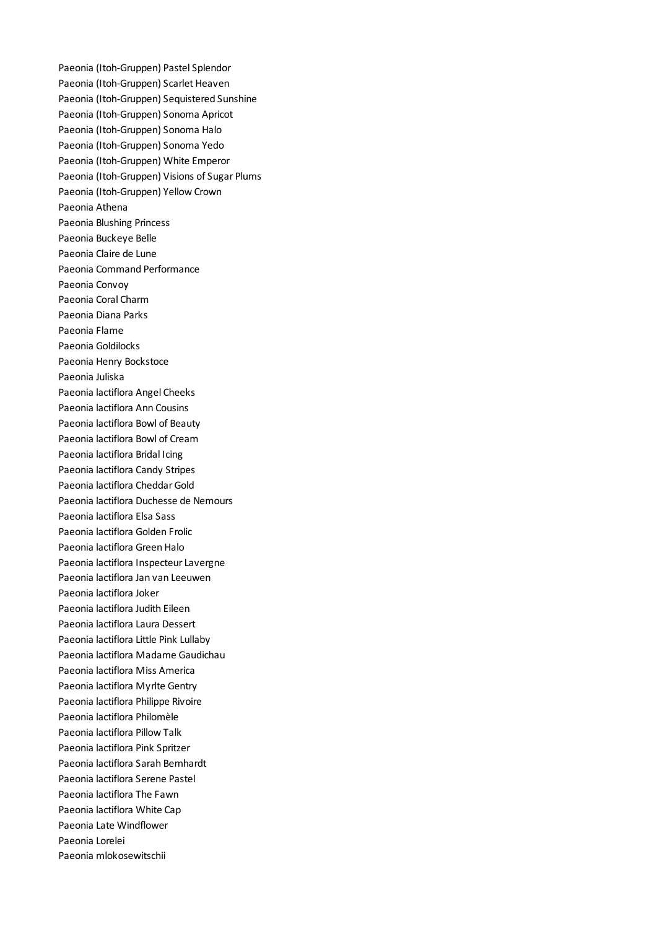Paeonia (Itoh-Gruppen) Pastel Splendor Paeonia (Itoh-Gruppen) Scarlet Heaven Paeonia (Itoh-Gruppen) Sequistered Sunshine Paeonia (Itoh-Gruppen) Sonoma Apricot Paeonia (Itoh-Gruppen) Sonoma Halo Paeonia (Itoh-Gruppen) Sonoma Yedo Paeonia (Itoh-Gruppen) White Emperor Paeonia (Itoh-Gruppen) Visions of Sugar Plums Paeonia (Itoh-Gruppen) Yellow Crown Paeonia Athena Paeonia Blushing Princess Paeonia Buckeye Belle Paeonia Claire de Lune Paeonia Command Performance Paeonia Convoy Paeonia Coral Charm Paeonia Diana Parks Paeonia Flame Paeonia Goldilocks Paeonia Henry Bockstoce Paeonia Juliska Paeonia lactiflora Angel Cheeks Paeonia lactiflora Ann Cousins Paeonia lactiflora Bowl of Beauty Paeonia lactiflora Bowl of Cream Paeonia lactiflora Bridal Icing Paeonia lactiflora Candy Stripes Paeonia lactiflora Cheddar Gold Paeonia lactiflora Duchesse de Nemours Paeonia lactiflora Elsa Sass Paeonia lactiflora Golden Frolic Paeonia lactiflora Green Halo Paeonia lactiflora Inspecteur Lavergne Paeonia lactiflora Jan van Leeuwen Paeonia lactiflora Joker Paeonia lactiflora Judith Eileen Paeonia lactiflora Laura Dessert Paeonia lactiflora Little Pink Lullaby Paeonia lactiflora Madame Gaudichau Paeonia lactiflora Miss America Paeonia lactiflora Myrlte Gentry Paeonia lactiflora Philippe Rivoire Paeonia lactiflora Philomèle Paeonia lactiflora Pillow Talk Paeonia lactiflora Pink Spritzer Paeonia lactiflora Sarah Bernhardt Paeonia lactiflora Serene Pastel Paeonia lactiflora The Fawn Paeonia lactiflora White Cap Paeonia Late Windflower Paeonia Lorelei Paeonia mlokosewitschii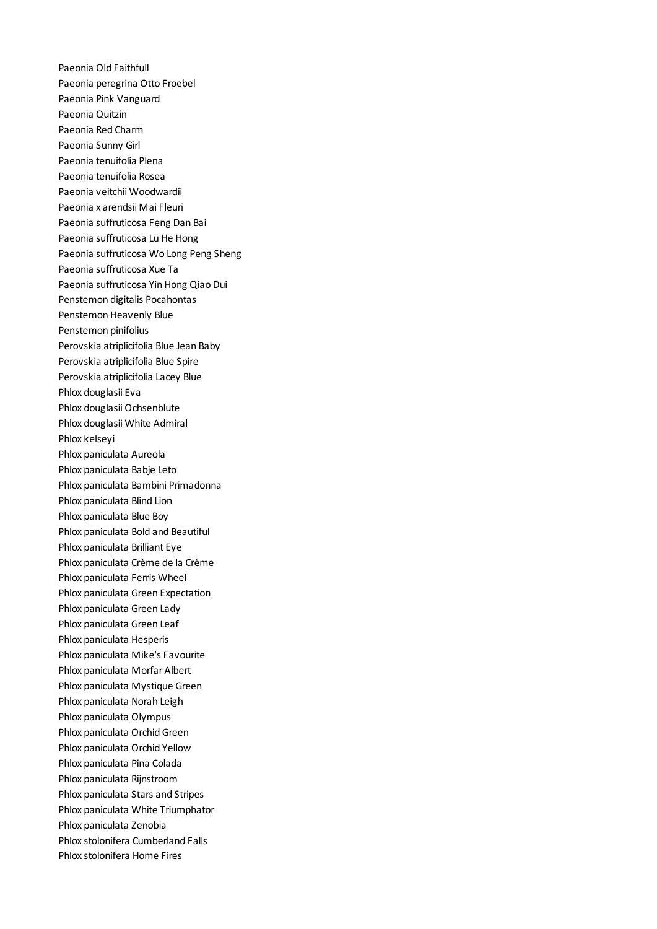Paeonia Old Faithfull Paeonia peregrina Otto Froebel Paeonia Pink Vanguard Paeonia Quitzin Paeonia Red Charm Paeonia Sunny Girl Paeonia tenuifolia Plena Paeonia tenuifolia Rosea Paeonia veitchii Woodwardii Paeonia x arendsii Mai Fleuri Paeonia suffruticosa Feng Dan Bai Paeonia suffruticosa Lu He Hong Paeonia suffruticosa Wo Long Peng Sheng Paeonia suffruticosa Xue Ta Paeonia suffruticosa Yin Hong Qiao Dui Penstemon digitalis Pocahontas Penstemon Heavenly Blue Penstemon pinifolius Perovskia atriplicifolia Blue Jean Baby Perovskia atriplicifolia Blue Spire Perovskia atriplicifolia Lacey Blue Phlox douglasii Eva Phlox douglasii Ochsenblute Phlox douglasii White Admiral Phlox kelseyi Phlox paniculata Aureola Phlox paniculata Babje Leto Phlox paniculata Bambini Primadonna Phlox paniculata Blind Lion Phlox paniculata Blue Boy Phlox paniculata Bold and Beautiful Phlox paniculata Brilliant Eye Phlox paniculata Crème de la Crème Phlox paniculata Ferris Wheel Phlox paniculata Green Expectation Phlox paniculata Green Lady Phlox paniculata Green Leaf Phlox paniculata Hesperis Phlox paniculata Mike's Favourite Phlox paniculata Morfar Albert Phlox paniculata Mystique Green Phlox paniculata Norah Leigh Phlox paniculata Olympus Phlox paniculata Orchid Green Phlox paniculata Orchid Yellow Phlox paniculata Pina Colada Phlox paniculata Rijnstroom Phlox paniculata Stars and Stripes Phlox paniculata White Triumphator Phlox paniculata Zenobia Phlox stolonifera Cumberland Falls Phlox stolonifera Home Fires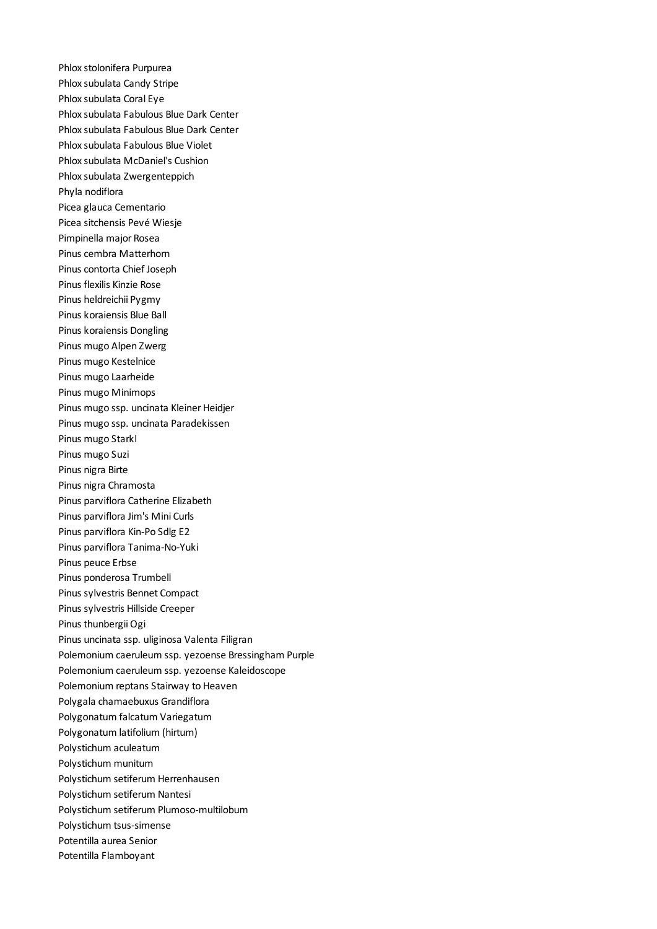Phlox stolonifera Purpurea Phlox subulata Candy Stripe Phlox subulata Coral Eye Phlox subulata Fabulous Blue Dark Center Phlox subulata Fabulous Blue Dark Center Phlox subulata Fabulous Blue Violet Phlox subulata McDaniel's Cushion Phlox subulata Zwergenteppich Phyla nodiflora Picea glauca Cementario Picea sitchensis Pevé Wiesje Pimpinella major Rosea Pinus cembra Matterhorn Pinus contorta Chief Joseph Pinus flexilis Kinzie Rose Pinus heldreichii Pygmy Pinus koraiensis Blue Ball Pinus koraiensis Dongling Pinus mugo Alpen Zwerg Pinus mugo Kestelnice Pinus mugo Laarheide Pinus mugo Minimops Pinus mugo ssp. uncinata Kleiner Heidjer Pinus mugo ssp. uncinata Paradekissen Pinus mugo Starkl Pinus mugo Suzi Pinus nigra Birte Pinus nigra Chramosta Pinus parviflora Catherine Elizabeth Pinus parviflora Jim's Mini Curls Pinus parviflora Kin-Po Sdlg E2 Pinus parviflora Tanima-No-Yuki Pinus peuce Erbse Pinus ponderosa Trumbell Pinus sylvestris Bennet Compact Pinus sylvestris Hillside Creeper Pinus thunbergii Ogi Pinus uncinata ssp. uliginosa Valenta Filigran Polemonium caeruleum ssp. yezoense Bressingham Purple Polemonium caeruleum ssp. yezoense Kaleidoscope Polemonium reptans Stairway to Heaven Polygala chamaebuxus Grandiflora Polygonatum falcatum Variegatum Polygonatum latifolium (hirtum) Polystichum aculeatum Polystichum munitum Polystichum setiferum Herrenhausen Polystichum setiferum Nantesi Polystichum setiferum Plumoso-multilobum Polystichum tsus-simense Potentilla aurea Senior Potentilla Flamboyant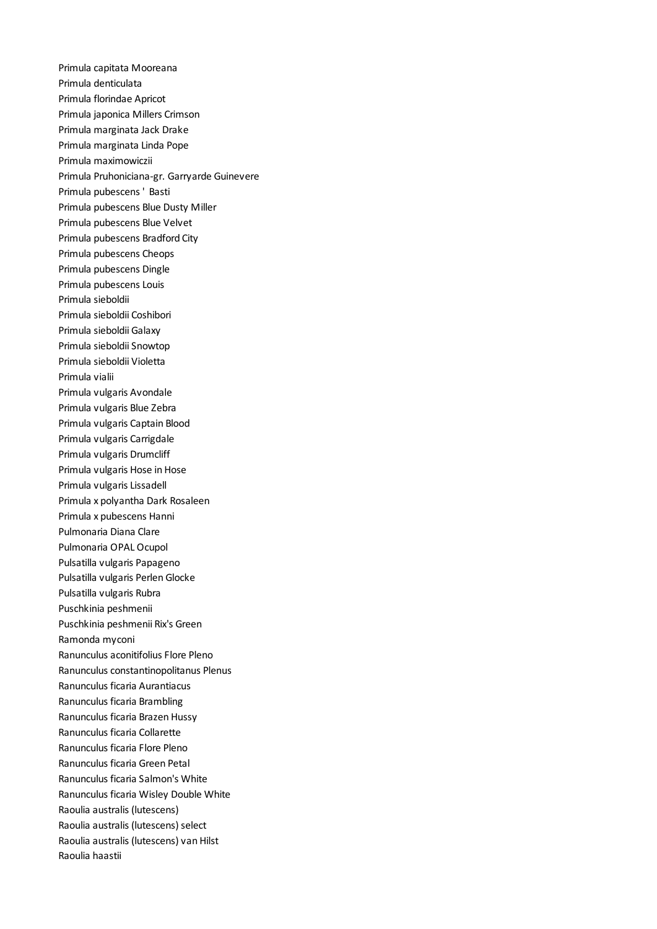Primula capitata Mooreana Primula denticulata Primula florindae Apricot Primula japonica Millers Crimson Primula marginata Jack Drake Primula marginata Linda Pope Primula maximowiczii Primula Pruhoniciana-gr. Garryarde Guinevere Primula pubescens ' Basti Primula pubescens Blue Dusty Miller Primula pubescens Blue Velvet Primula pubescens Bradford City Primula pubescens Cheops Primula pubescens Dingle Primula pubescens Louis Primula sieboldii Primula sieboldii Coshibori Primula sieboldii Galaxy Primula sieboldii Snowtop Primula sieboldii Violetta Primula vialii Primula vulgaris Avondale Primula vulgaris Blue Zebra Primula vulgaris Captain Blood Primula vulgaris Carrigdale Primula vulgaris Drumcliff Primula vulgaris Hose in Hose Primula vulgaris Lissadell Primula x polyantha Dark Rosaleen Primula x pubescens Hanni Pulmonaria Diana Clare Pulmonaria OPAL Ocupol Pulsatilla vulgaris Papageno Pulsatilla vulgaris Perlen Glocke Pulsatilla vulgaris Rubra Puschkinia peshmenii Puschkinia peshmenii Rix's Green Ramonda myconi Ranunculus aconitifolius Flore Pleno Ranunculus constantinopolitanus Plenus Ranunculus ficaria Aurantiacus Ranunculus ficaria Brambling Ranunculus ficaria Brazen Hussy Ranunculus ficaria Collarette Ranunculus ficaria Flore Pleno Ranunculus ficaria Green Petal Ranunculus ficaria Salmon's White Ranunculus ficaria Wisley Double White Raoulia australis (lutescens) Raoulia australis (lutescens) select Raoulia australis (lutescens) van Hilst Raoulia haastii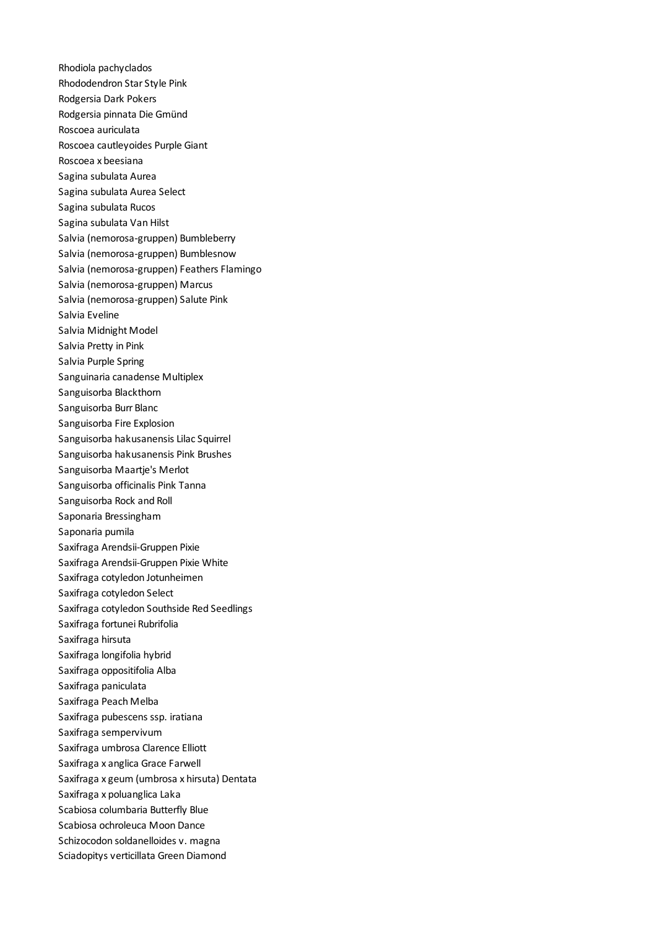Rhodiola pachyclados Rhododendron Star Style Pink Rodgersia Dark Pokers Rodgersia pinnata Die Gmünd Roscoea auriculata Roscoea cautleyoides Purple Giant Roscoea x beesiana Sagina subulata Aurea Sagina subulata Aurea Select Sagina subulata Rucos Sagina subulata Van Hilst Salvia (nemorosa-gruppen) Bumbleberry Salvia (nemorosa-gruppen) Bumblesnow Salvia (nemorosa-gruppen) Feathers Flamingo Salvia (nemorosa-gruppen) Marcus Salvia (nemorosa-gruppen) Salute Pink Salvia Eveline Salvia Midnight Model Salvia Pretty in Pink Salvia Purple Spring Sanguinaria canadense Multiplex Sanguisorba Blackthorn Sanguisorba Burr Blanc Sanguisorba Fire Explosion Sanguisorba hakusanensis Lilac Squirrel Sanguisorba hakusanensis Pink Brushes Sanguisorba Maartje's Merlot Sanguisorba officinalis Pink Tanna Sanguisorba Rock and Roll Saponaria Bressingham Saponaria pumila Saxifraga Arendsii-Gruppen Pixie Saxifraga Arendsii-Gruppen Pixie White Saxifraga cotyledon Jotunheimen Saxifraga cotyledon Select Saxifraga cotyledon Southside Red Seedlings Saxifraga fortunei Rubrifolia Saxifraga hirsuta Saxifraga longifolia hybrid Saxifraga oppositifolia Alba Saxifraga paniculata Saxifraga Peach Melba Saxifraga pubescens ssp. iratiana Saxifraga sempervivum Saxifraga umbrosa Clarence Elliott Saxifraga x anglica Grace Farwell Saxifraga x geum (umbrosa x hirsuta) Dentata Saxifraga x poluanglica Laka Scabiosa columbaria Butterfly Blue Scabiosa ochroleuca Moon Dance Schizocodon soldanelloides v. magna Sciadopitys verticillata Green Diamond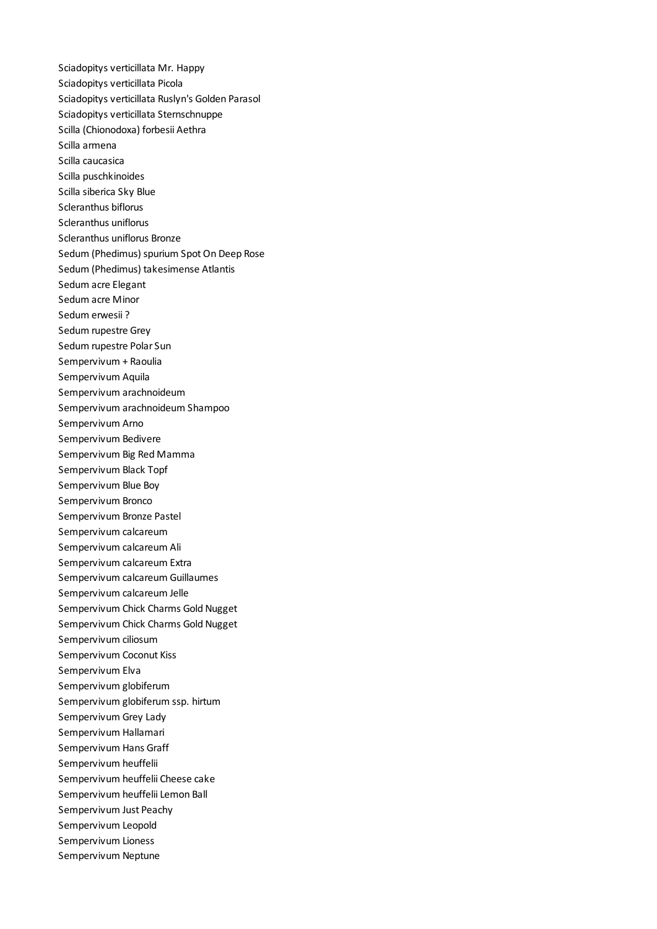Sciadopitys verticillata Mr. Happy Sciadopitys verticillata Picola Sciadopitys verticillata Ruslyn's Golden Parasol Sciadopitys verticillata Sternschnuppe Scilla (Chionodoxa) forbesii Aethra Scilla armena Scilla caucasica Scilla puschkinoides Scilla siberica Sky Blue Scleranthus biflorus Scleranthus uniflorus Scleranthus uniflorus Bronze Sedum (Phedimus) spurium Spot On Deep Rose Sedum (Phedimus) takesimense Atlantis Sedum acre Elegant Sedum acre Minor Sedum erwesii ? Sedum rupestre Grey Sedum rupestre Polar Sun Sempervivum + Raoulia Sempervivum Aquila Sempervivum arachnoideum Sempervivum arachnoideum Shampoo Sempervivum Arno Sempervivum Bedivere Sempervivum Big Red Mamma Sempervivum Black Topf Sempervivum Blue Boy Sempervivum Bronco Sempervivum Bronze Pastel Sempervivum calcareum Sempervivum calcareum Ali Sempervivum calcareum Extra Sempervivum calcareum Guillaumes Sempervivum calcareum Jelle Sempervivum Chick Charms Gold Nugget Sempervivum Chick Charms Gold Nugget Sempervivum ciliosum Sempervivum Coconut Kiss Sempervivum Elva Sempervivum globiferum Sempervivum globiferum ssp. hirtum Sempervivum Grey Lady Sempervivum Hallamari Sempervivum Hans Graff Sempervivum heuffelii Sempervivum heuffelii Cheese cake Sempervivum heuffelii Lemon Ball Sempervivum Just Peachy Sempervivum Leopold Sempervivum Lioness Sempervivum Neptune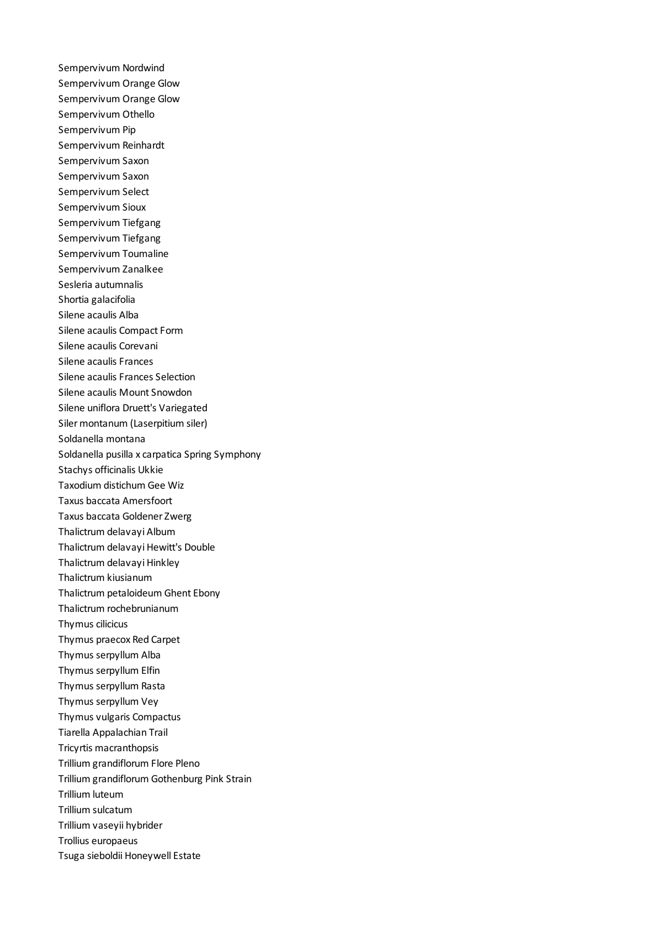Sempervivum Nordwind Sempervivum Orange Glow Sempervivum Orange Glow Sempervivum Othello Sempervivum Pip Sempervivum Reinhardt Sempervivum Saxon Sempervivum Saxon Sempervivum Select Sempervivum Sioux Sempervivum Tiefgang Sempervivum Tiefgang Sempervivum Toumaline Sempervivum Zanalkee Sesleria autumnalis Shortia galacifolia Silene acaulis Alba Silene acaulis Compact Form Silene acaulis Corevani Silene acaulis Frances Silene acaulis Frances Selection Silene acaulis Mount Snowdon Silene uniflora Druett's Variegated Siler montanum (Laserpitium siler) Soldanella montana Soldanella pusilla x carpatica Spring Symphony Stachys officinalis Ukkie Taxodium distichum Gee Wiz Taxus baccata Amersfoort Taxus baccata Goldener Zwerg Thalictrum delavayi Album Thalictrum delavayi Hewitt's Double Thalictrum delavayi Hinkley Thalictrum kiusianum Thalictrum petaloideum Ghent Ebony Thalictrum rochebrunianum Thymus cilicicus Thymus praecox Red Carpet Thymus serpyllum Alba Thymus serpyllum Elfin Thymus serpyllum Rasta Thymus serpyllum Vey Thymus vulgaris Compactus Tiarella Appalachian Trail Tricyrtis macranthopsis Trillium grandiflorum Flore Pleno Trillium grandiflorum Gothenburg Pink Strain Trillium luteum Trillium sulcatum Trillium vaseyii hybrider Trollius europaeus Tsuga sieboldii Honeywell Estate